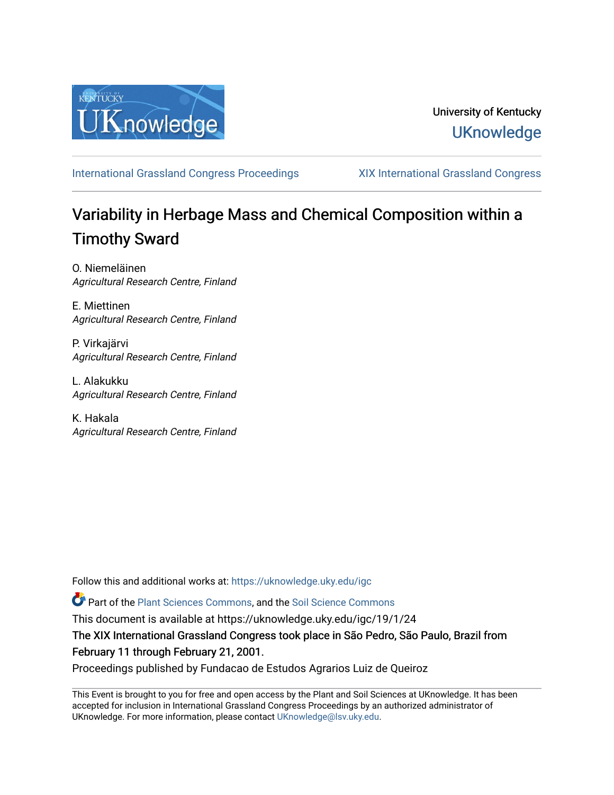

### University of Kentucky **UKnowledge**

[International Grassland Congress Proceedings](https://uknowledge.uky.edu/igc) [XIX International Grassland Congress](https://uknowledge.uky.edu/igc/19) 

# Variability in Herbage Mass and Chemical Composition within a Timothy Sward

O. Niemeläinen Agricultural Research Centre, Finland

E. Miettinen Agricultural Research Centre, Finland

P. Virkajärvi Agricultural Research Centre, Finland

L. Alakukku Agricultural Research Centre, Finland

K. Hakala Agricultural Research Centre, Finland

Follow this and additional works at: [https://uknowledge.uky.edu/igc](https://uknowledge.uky.edu/igc?utm_source=uknowledge.uky.edu%2Figc%2F19%2F1%2F24&utm_medium=PDF&utm_campaign=PDFCoverPages) 

Part of the [Plant Sciences Commons](http://network.bepress.com/hgg/discipline/102?utm_source=uknowledge.uky.edu%2Figc%2F19%2F1%2F24&utm_medium=PDF&utm_campaign=PDFCoverPages), and the [Soil Science Commons](http://network.bepress.com/hgg/discipline/163?utm_source=uknowledge.uky.edu%2Figc%2F19%2F1%2F24&utm_medium=PDF&utm_campaign=PDFCoverPages) 

This document is available at https://uknowledge.uky.edu/igc/19/1/24

The XIX International Grassland Congress took place in São Pedro, São Paulo, Brazil from February 11 through February 21, 2001.

Proceedings published by Fundacao de Estudos Agrarios Luiz de Queiroz

This Event is brought to you for free and open access by the Plant and Soil Sciences at UKnowledge. It has been accepted for inclusion in International Grassland Congress Proceedings by an authorized administrator of UKnowledge. For more information, please contact [UKnowledge@lsv.uky.edu](mailto:UKnowledge@lsv.uky.edu).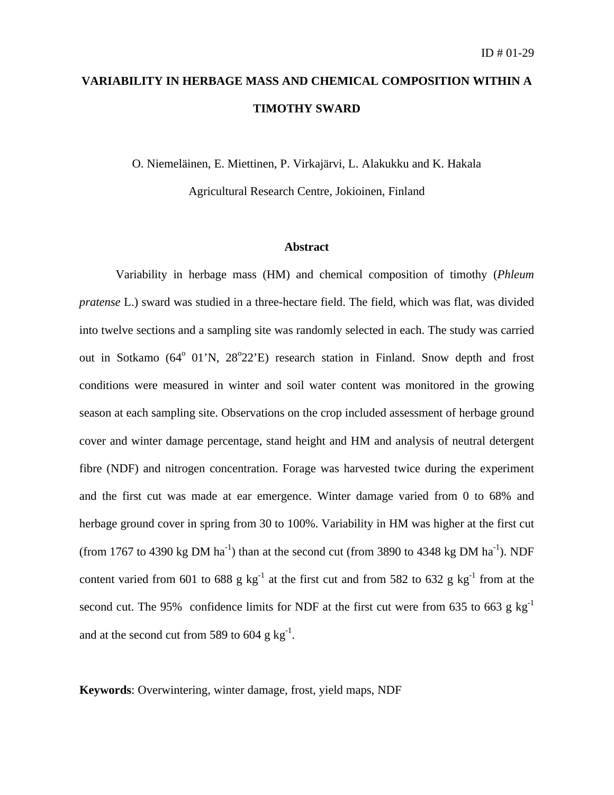## **VARIABILITY IN HERBAGE MASS AND CHEMICAL COMPOSITION WITHIN A TIMOTHY SWARD**

O. Niemeläinen, E. Miettinen, P. Virkajärvi, L. Alakukku and K. Hakala

Agricultural Research Centre, Jokioinen, Finland

#### **Abstract**

 Variability in herbage mass (HM) and chemical composition of timothy (*Phleum pratense* L.) sward was studied in a three-hectare field. The field, which was flat, was divided into twelve sections and a sampling site was randomly selected in each. The study was carried out in Sotkamo (64<sup>°</sup> 01'N, 28<sup>°</sup>22'E) research station in Finland. Snow depth and frost conditions were measured in winter and soil water content was monitored in the growing season at each sampling site. Observations on the crop included assessment of herbage ground cover and winter damage percentage, stand height and HM and analysis of neutral detergent fibre (NDF) and nitrogen concentration. Forage was harvested twice during the experiment and the first cut was made at ear emergence. Winter damage varied from 0 to 68% and herbage ground cover in spring from 30 to 100%. Variability in HM was higher at the first cut (from 1767 to 4390 kg DM ha<sup>-1</sup>) than at the second cut (from 3890 to 4348 kg DM ha<sup>-1</sup>). NDF content varied from 601 to 688 g  $kg^{-1}$  at the first cut and from 582 to 632 g  $kg^{-1}$  from at the second cut. The 95% confidence limits for NDF at the first cut were from 635 to 663 g  $kg^{-1}$ and at the second cut from 589 to 604  $\text{g kg}^{-1}$ .

**Keywords**: Overwintering, winter damage, frost, yield maps, NDF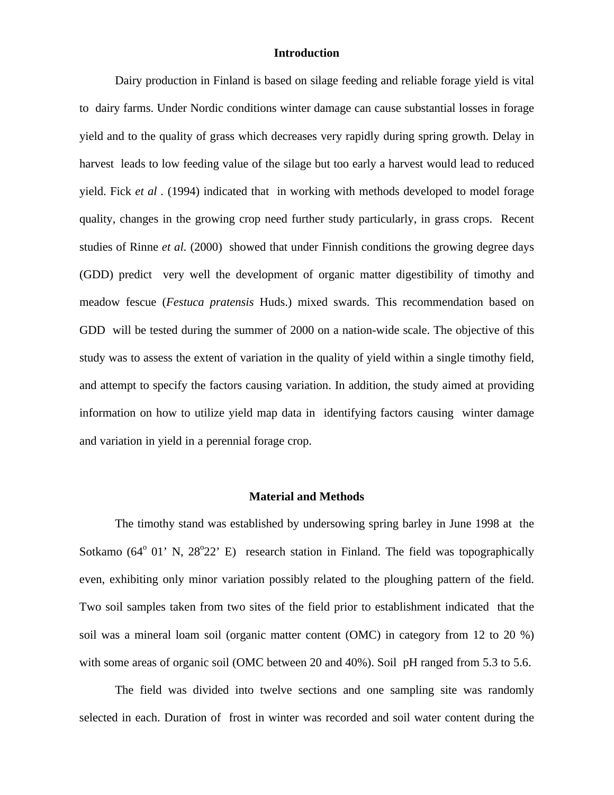#### **Introduction**

Dairy production in Finland is based on silage feeding and reliable forage yield is vital to dairy farms. Under Nordic conditions winter damage can cause substantial losses in forage yield and to the quality of grass which decreases very rapidly during spring growth. Delay in harvest leads to low feeding value of the silage but too early a harvest would lead to reduced yield. Fick *et al .* (1994) indicated that in working with methods developed to model forage quality, changes in the growing crop need further study particularly, in grass crops. Recent studies of Rinne *et al.* (2000) showed that under Finnish conditions the growing degree days (GDD) predict very well the development of organic matter digestibility of timothy and meadow fescue (*Festuca pratensis* Huds.) mixed swards. This recommendation based on GDD will be tested during the summer of 2000 on a nation-wide scale. The objective of this study was to assess the extent of variation in the quality of yield within a single timothy field, and attempt to specify the factors causing variation. In addition, the study aimed at providing information on how to utilize yield map data in identifying factors causing winter damage and variation in yield in a perennial forage crop.

#### **Material and Methods**

The timothy stand was established by undersowing spring barley in June 1998 at the Sotkamo (64<sup>°</sup> 01' N, 28<sup>°</sup>22' E) research station in Finland. The field was topographically even, exhibiting only minor variation possibly related to the ploughing pattern of the field. Two soil samples taken from two sites of the field prior to establishment indicated that the soil was a mineral loam soil (organic matter content (OMC) in category from 12 to 20 %) with some areas of organic soil (OMC between 20 and 40%). Soil pH ranged from 5.3 to 5.6.

The field was divided into twelve sections and one sampling site was randomly selected in each. Duration of frost in winter was recorded and soil water content during the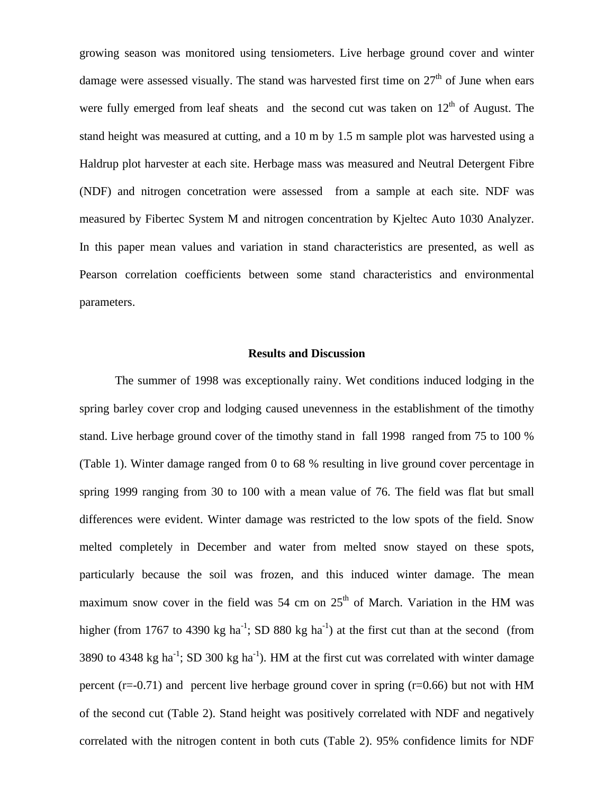growing season was monitored using tensiometers. Live herbage ground cover and winter damage were assessed visually. The stand was harvested first time on  $27<sup>th</sup>$  of June when ears were fully emerged from leaf sheats and the second cut was taken on  $12<sup>th</sup>$  of August. The stand height was measured at cutting, and a 10 m by 1.5 m sample plot was harvested using a Haldrup plot harvester at each site. Herbage mass was measured and Neutral Detergent Fibre (NDF) and nitrogen concetration were assessed from a sample at each site. NDF was measured by Fibertec System M and nitrogen concentration by Kjeltec Auto 1030 Analyzer. In this paper mean values and variation in stand characteristics are presented, as well as Pearson correlation coefficients between some stand characteristics and environmental parameters.

#### **Results and Discussion**

The summer of 1998 was exceptionally rainy. Wet conditions induced lodging in the spring barley cover crop and lodging caused unevenness in the establishment of the timothy stand. Live herbage ground cover of the timothy stand in fall 1998 ranged from 75 to 100 % (Table 1). Winter damage ranged from 0 to 68 % resulting in live ground cover percentage in spring 1999 ranging from 30 to 100 with a mean value of 76. The field was flat but small differences were evident. Winter damage was restricted to the low spots of the field. Snow melted completely in December and water from melted snow stayed on these spots, particularly because the soil was frozen, and this induced winter damage. The mean maximum snow cover in the field was 54 cm on  $25<sup>th</sup>$  of March. Variation in the HM was higher (from 1767 to 4390 kg ha<sup>-1</sup>; SD 880 kg ha<sup>-1</sup>) at the first cut than at the second (from 3890 to 4348 kg ha<sup>-1</sup>; SD 300 kg ha<sup>-1</sup>). HM at the first cut was correlated with winter damage percent  $(r=0.71)$  and percent live herbage ground cover in spring  $(r=0.66)$  but not with HM of the second cut (Table 2). Stand height was positively correlated with NDF and negatively correlated with the nitrogen content in both cuts (Table 2). 95% confidence limits for NDF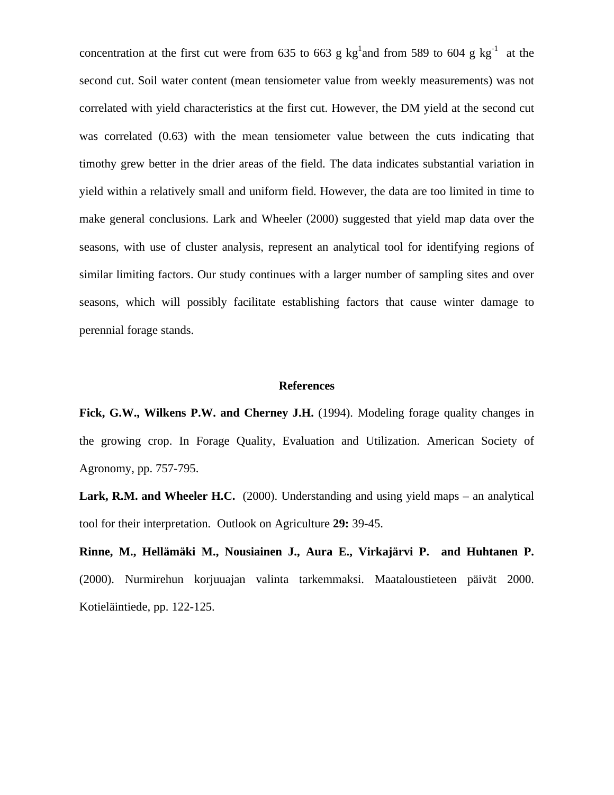concentration at the first cut were from 635 to 663 g  $kg<sup>1</sup>$  and from 589 to 604 g  $kg<sup>-1</sup>$  at the second cut. Soil water content (mean tensiometer value from weekly measurements) was not correlated with yield characteristics at the first cut. However, the DM yield at the second cut was correlated (0.63) with the mean tensiometer value between the cuts indicating that timothy grew better in the drier areas of the field. The data indicates substantial variation in yield within a relatively small and uniform field. However, the data are too limited in time to make general conclusions. Lark and Wheeler (2000) suggested that yield map data over the seasons, with use of cluster analysis, represent an analytical tool for identifying regions of similar limiting factors. Our study continues with a larger number of sampling sites and over seasons, which will possibly facilitate establishing factors that cause winter damage to perennial forage stands.

#### **References**

Fick, G.W., Wilkens P.W. and Cherney J.H. (1994). Modeling forage quality changes in the growing crop. In Forage Quality, Evaluation and Utilization. American Society of Agronomy, pp. 757-795.

**Lark, R.M. and Wheeler H.C.** (2000). Understanding and using yield maps – an analytical tool for their interpretation. Outlook on Agriculture **29:** 39-45.

**Rinne, M., Hellämäki M., Nousiainen J., Aura E., Virkajärvi P. and Huhtanen P.** (2000). Nurmirehun korjuuajan valinta tarkemmaksi. Maataloustieteen päivät 2000. Kotieläintiede, pp. 122-125.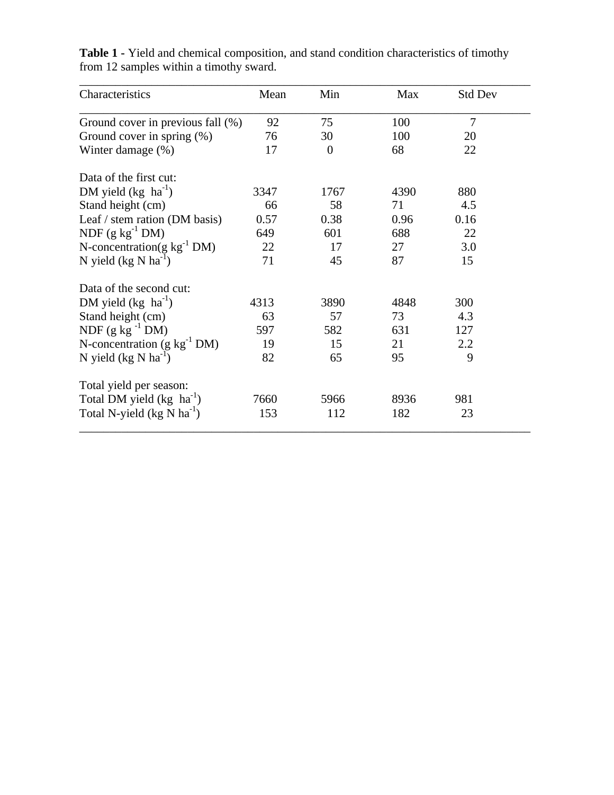| Characteristics                       | Mean | Min      | Max  | <b>Std Dev</b> |
|---------------------------------------|------|----------|------|----------------|
| Ground cover in previous fall (%)     | 92   | 75       | 100  | 7              |
| Ground cover in spring (%)            | 76   | 30       | 100  | 20             |
| Winter damage (%)                     | 17   | $\theta$ | 68   | 22             |
| Data of the first cut:                |      |          |      |                |
| DM yield $(kg \text{ ha}^{-1})$       | 3347 | 1767     | 4390 | 880            |
| Stand height (cm)                     | 66   | 58       | 71   | 4.5            |
| Leaf / stem ration (DM basis)         | 0.57 | 0.38     | 0.96 | 0.16           |
| NDF $(g kg^{-1} DM)$                  | 649  | 601      | 688  | 22             |
| N-concentration(g $kg^{-1}$ DM)       | 22   | 17       | 27   | 3.0            |
| N yield $(kg N ha^{-1})$              | 71   | 45       | 87   | 15             |
| Data of the second cut:               |      |          |      |                |
| DM yield $(kg \text{ ha}^{-1})$       | 4313 | 3890     | 4848 | 300            |
| Stand height (cm)                     | 63   | 57       | 73   | 4.3            |
| NDF $(g \text{ kg}^{-1} \text{DM})$   | 597  | 582      | 631  | 127            |
| N-concentration $(g kg-1 DM)$         | 19   | 15       | 21   | 2.2            |
| N yield $(kg N ha^{-1})$              | 82   | 65       | 95   | 9              |
| Total yield per season:               |      |          |      |                |
| Total DM yield (kg ha <sup>-1</sup> ) | 7660 | 5966     | 8936 | 981            |
| Total N-yield $(kg N ha^{-1})$        | 153  | 112      | 182  | 23             |

**Table 1 -** Yield and chemical composition, and stand condition characteristics of timothy from 12 samples within a timothy sward.